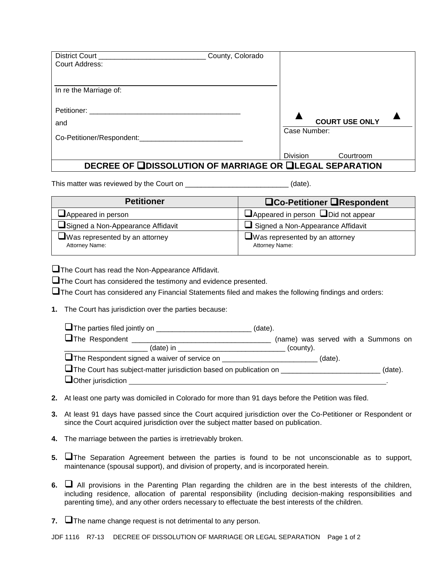| <b>District Court</b><br><b>Court Address:</b>                 | County, Colorado |                 |                       |  |
|----------------------------------------------------------------|------------------|-----------------|-----------------------|--|
|                                                                |                  |                 |                       |  |
| In re the Marriage of:                                         |                  |                 |                       |  |
| Petitioner:                                                    |                  |                 | <b>COURT USE ONLY</b> |  |
| and                                                            |                  |                 |                       |  |
| Co-Petitioner/Respondent:                                      |                  | Case Number:    |                       |  |
|                                                                |                  | <b>Division</b> | Courtroom             |  |
| <b>DECREE OF UDISSOLUTION OF MARRIAGE OR ULEGAL SEPARATION</b> |                  |                 |                       |  |

This matter was reviewed by the Court on \_\_\_\_\_\_\_\_\_\_\_\_\_\_\_\_\_\_\_\_\_\_\_\_\_\_\_\_\_\_\_(date).

| <b>Petitioner</b>                                               | <b>QCo-Petitioner QRespondent</b>                       |
|-----------------------------------------------------------------|---------------------------------------------------------|
| Appeared in person                                              | $\Box$ Appeared in person $\Box$ Did not appear         |
| Signed a Non-Appearance Affidavit                               | Signed a Non-Appearance Affidavit                       |
| $\blacksquare$ Was represented by an attorney<br>Attorney Name: | $\Box$ Was represented by an attorney<br>Attorney Name: |

The Court has read the Non-Appearance Affidavit.

**The Court has considered the testimony and evidence presented.** 

 $\square$  The Court has considered any Financial Statements filed and makes the following findings and orders:

**1.** The Court has jurisdiction over the parties because:

|                                                                                         | (date).                             |  |
|-----------------------------------------------------------------------------------------|-------------------------------------|--|
|                                                                                         | (name) was served with a Summons on |  |
|                                                                                         | (county).                           |  |
|                                                                                         | (date).                             |  |
| U The Court has subject-matter jurisdiction based on publication on ___________________ | (data).                             |  |
| $\Box$ Other jurisdiction $\Box$                                                        |                                     |  |

- **2.** At least one party was domiciled in Colorado for more than 91 days before the Petition was filed.
- **3.** At least 91 days have passed since the Court acquired jurisdiction over the Co-Petitioner or Respondent or since the Court acquired jurisdiction over the subject matter based on publication.
- **4.** The marriage between the parties is irretrievably broken.
- **5.** The Separation Agreement between the parties is found to be not unconscionable as to support, maintenance (spousal support), and division of property, and is incorporated herein.
- **6.** All provisions in the Parenting Plan regarding the children are in the best interests of the children, including residence, allocation of parental responsibility (including decision-making responsibilities and parenting time), and any other orders necessary to effectuate the best interests of the children.
- 7. **The name change request is not detrimental to any person.**